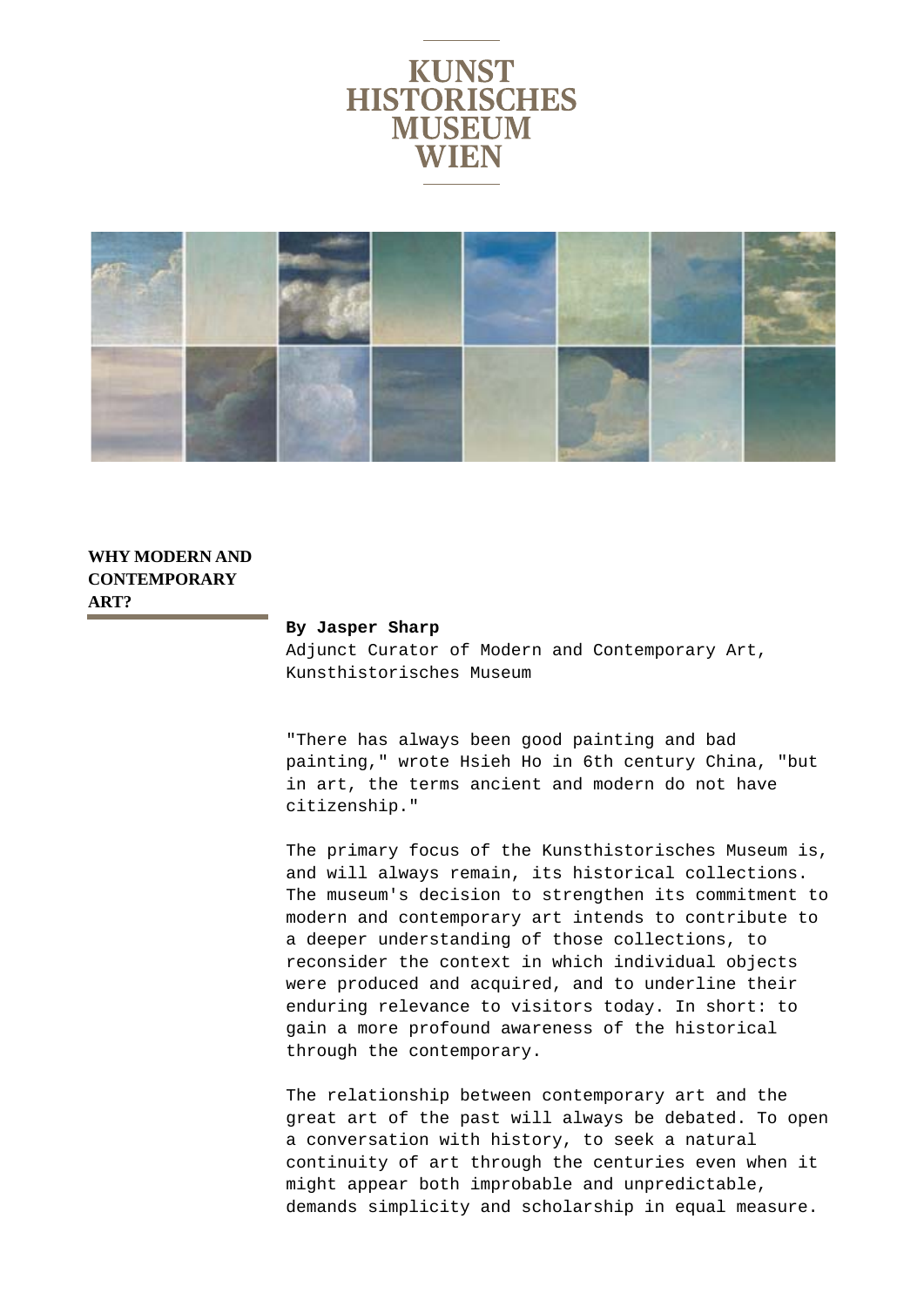



## **WHY MODERN AND CONTEMPORARY ART?**

## **By Jasper Sharp**

Adjunct Curator of Modern and Contemporary Art, Kunsthistorisches Museum

"There has always been good painting and bad painting," wrote Hsieh Ho in 6th century China, "but in art, the terms ancient and modern do not have citizenship."

The primary focus of the Kunsthistorisches Museum is, and will always remain, its historical collections. The museum's decision to strengthen its commitment to modern and contemporary art intends to contribute to a deeper understanding of those collections, to reconsider the context in which individual objects were produced and acquired, and to underline their enduring relevance to visitors today. In short: to gain a more profound awareness of the historical through the contemporary.

The relationship between contemporary art and the great art of the past will always be debated. To open a conversation with history, to seek a natural continuity of art through the centuries even when it might appear both improbable and unpredictable, demands simplicity and scholarship in equal measure.